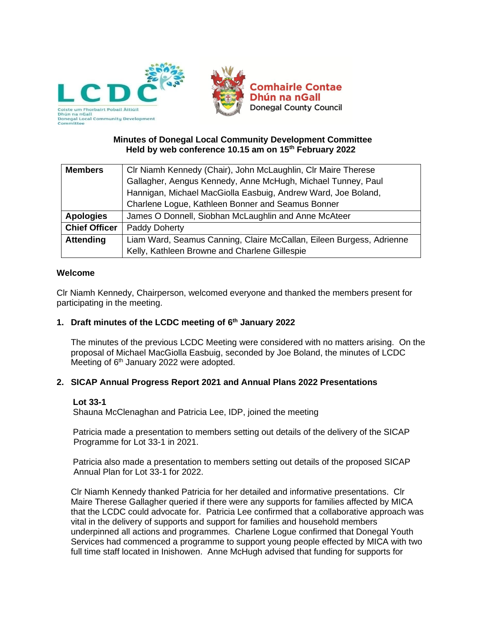

## **Minutes of Donegal Local Community Development Committee Held by web conference 10.15 am on 15th February 2022**

| <b>Members</b>       | CIr Niamh Kennedy (Chair), John McLaughlin, CIr Maire Therese        |  |  |
|----------------------|----------------------------------------------------------------------|--|--|
|                      | Gallagher, Aengus Kennedy, Anne McHugh, Michael Tunney, Paul         |  |  |
|                      | Hannigan, Michael MacGiolla Easbuig, Andrew Ward, Joe Boland,        |  |  |
|                      | Charlene Logue, Kathleen Bonner and Seamus Bonner                    |  |  |
| <b>Apologies</b>     | James O Donnell, Siobhan McLaughlin and Anne McAteer                 |  |  |
| <b>Chief Officer</b> | Paddy Doherty                                                        |  |  |
| <b>Attending</b>     | Liam Ward, Seamus Canning, Claire McCallan, Eileen Burgess, Adrienne |  |  |
|                      | Kelly, Kathleen Browne and Charlene Gillespie                        |  |  |

### **Welcome**

Clr Niamh Kennedy, Chairperson, welcomed everyone and thanked the members present for participating in the meeting.

### **1. Draft minutes of the LCDC meeting of 6 th January 2022**

The minutes of the previous LCDC Meeting were considered with no matters arising. On the proposal of Michael MacGiolla Easbuig, seconded by Joe Boland, the minutes of LCDC Meeting of 6<sup>th</sup> January 2022 were adopted.

### **2. SICAP Annual Progress Report 2021 and Annual Plans 2022 Presentations**

### **Lot 33-1**

Shauna McClenaghan and Patricia Lee, IDP, joined the meeting

Patricia made a presentation to members setting out details of the delivery of the SICAP Programme for Lot 33-1 in 2021.

Patricia also made a presentation to members setting out details of the proposed SICAP Annual Plan for Lot 33-1 for 2022.

Clr Niamh Kennedy thanked Patricia for her detailed and informative presentations. Clr Maire Therese Gallagher queried if there were any supports for families affected by MICA that the LCDC could advocate for. Patricia Lee confirmed that a collaborative approach was vital in the delivery of supports and support for families and household members underpinned all actions and programmes. Charlene Logue confirmed that Donegal Youth Services had commenced a programme to support young people effected by MICA with two full time staff located in Inishowen. Anne McHugh advised that funding for supports for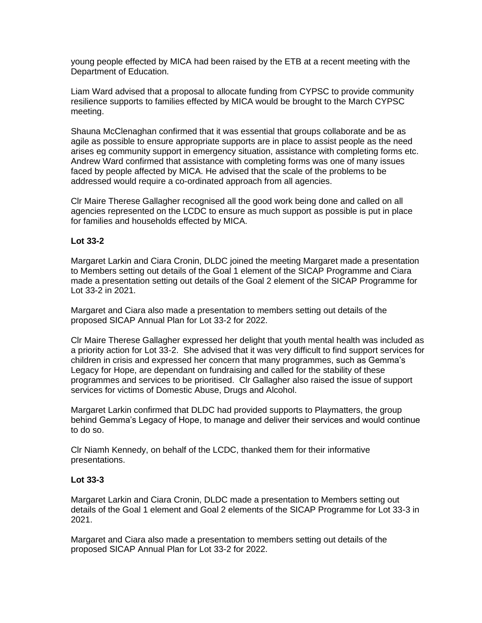young people effected by MICA had been raised by the ETB at a recent meeting with the Department of Education.

Liam Ward advised that a proposal to allocate funding from CYPSC to provide community resilience supports to families effected by MICA would be brought to the March CYPSC meeting.

Shauna McClenaghan confirmed that it was essential that groups collaborate and be as agile as possible to ensure appropriate supports are in place to assist people as the need arises eg community support in emergency situation, assistance with completing forms etc. Andrew Ward confirmed that assistance with completing forms was one of many issues faced by people affected by MICA. He advised that the scale of the problems to be addressed would require a co-ordinated approach from all agencies.

Clr Maire Therese Gallagher recognised all the good work being done and called on all agencies represented on the LCDC to ensure as much support as possible is put in place for families and households effected by MICA.

### **Lot 33-2**

Margaret Larkin and Ciara Cronin, DLDC joined the meeting Margaret made a presentation to Members setting out details of the Goal 1 element of the SICAP Programme and Ciara made a presentation setting out details of the Goal 2 element of the SICAP Programme for Lot 33-2 in 2021.

Margaret and Ciara also made a presentation to members setting out details of the proposed SICAP Annual Plan for Lot 33-2 for 2022.

Clr Maire Therese Gallagher expressed her delight that youth mental health was included as a priority action for Lot 33-2. She advised that it was very difficult to find support services for children in crisis and expressed her concern that many programmes, such as Gemma's Legacy for Hope, are dependant on fundraising and called for the stability of these programmes and services to be prioritised. Clr Gallagher also raised the issue of support services for victims of Domestic Abuse, Drugs and Alcohol.

Margaret Larkin confirmed that DLDC had provided supports to Playmatters, the group behind Gemma's Legacy of Hope, to manage and deliver their services and would continue to do so.

Clr Niamh Kennedy, on behalf of the LCDC, thanked them for their informative presentations.

#### **Lot 33-3**

Margaret Larkin and Ciara Cronin, DLDC made a presentation to Members setting out details of the Goal 1 element and Goal 2 elements of the SICAP Programme for Lot 33-3 in 2021.

Margaret and Ciara also made a presentation to members setting out details of the proposed SICAP Annual Plan for Lot 33-2 for 2022.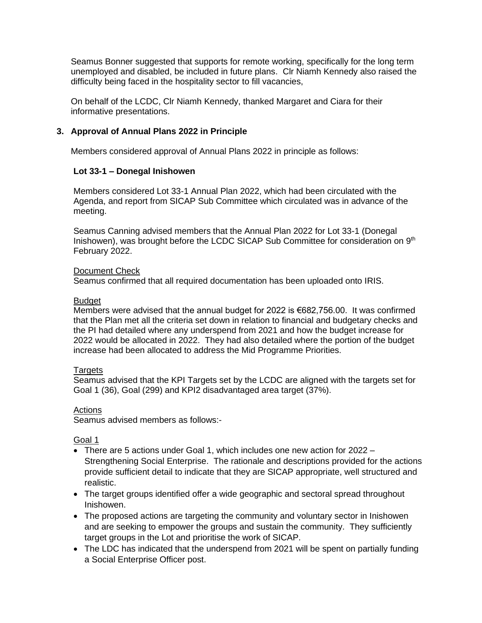Seamus Bonner suggested that supports for remote working, specifically for the long term unemployed and disabled, be included in future plans. Clr Niamh Kennedy also raised the difficulty being faced in the hospitality sector to fill vacancies,

On behalf of the LCDC, Clr Niamh Kennedy, thanked Margaret and Ciara for their informative presentations.

## **3. Approval of Annual Plans 2022 in Principle**

Members considered approval of Annual Plans 2022 in principle as follows:

### **Lot 33-1 – Donegal Inishowen**

Members considered Lot 33-1 Annual Plan 2022, which had been circulated with the Agenda, and report from SICAP Sub Committee which circulated was in advance of the meeting.

Seamus Canning advised members that the Annual Plan 2022 for Lot 33-1 (Donegal Inishowen), was brought before the LCDC SICAP Sub Committee for consideration on 9<sup>th</sup> February 2022.

### Document Check

Seamus confirmed that all required documentation has been uploaded onto IRIS.

### **Budget**

Members were advised that the annual budget for 2022 is €682,756.00. It was confirmed that the Plan met all the criteria set down in relation to financial and budgetary checks and the PI had detailed where any underspend from 2021 and how the budget increase for 2022 would be allocated in 2022. They had also detailed where the portion of the budget increase had been allocated to address the Mid Programme Priorities.

### Targets

Seamus advised that the KPI Targets set by the LCDC are aligned with the targets set for Goal 1 (36), Goal (299) and KPI2 disadvantaged area target (37%).

### Actions

Seamus advised members as follows:-

### Goal 1

- There are 5 actions under Goal 1, which includes one new action for 2022 Strengthening Social Enterprise. The rationale and descriptions provided for the actions provide sufficient detail to indicate that they are SICAP appropriate, well structured and realistic.
- The target groups identified offer a wide geographic and sectoral spread throughout Inishowen.
- The proposed actions are targeting the community and voluntary sector in Inishowen and are seeking to empower the groups and sustain the community. They sufficiently target groups in the Lot and prioritise the work of SICAP.
- The LDC has indicated that the underspend from 2021 will be spent on partially funding a Social Enterprise Officer post.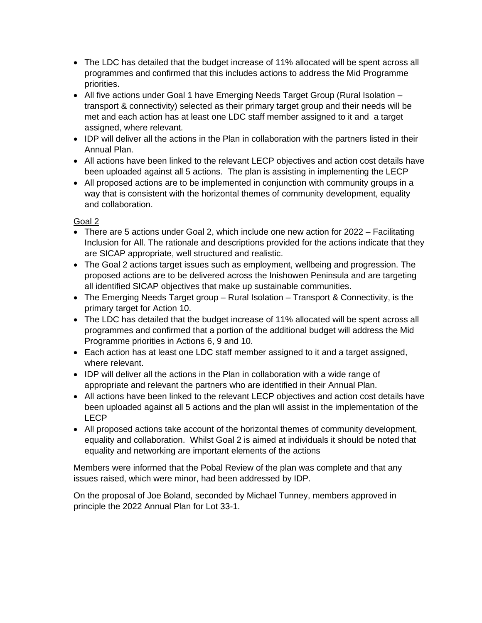- The LDC has detailed that the budget increase of 11% allocated will be spent across all programmes and confirmed that this includes actions to address the Mid Programme priorities.
- All five actions under Goal 1 have Emerging Needs Target Group (Rural Isolation transport & connectivity) selected as their primary target group and their needs will be met and each action has at least one LDC staff member assigned to it and a target assigned, where relevant.
- IDP will deliver all the actions in the Plan in collaboration with the partners listed in their Annual Plan.
- All actions have been linked to the relevant LECP objectives and action cost details have been uploaded against all 5 actions. The plan is assisting in implementing the LECP
- All proposed actions are to be implemented in conjunction with community groups in a way that is consistent with the horizontal themes of community development, equality and collaboration.

# Goal 2

- There are 5 actions under Goal 2, which include one new action for 2022 Facilitating Inclusion for All. The rationale and descriptions provided for the actions indicate that they are SICAP appropriate, well structured and realistic.
- The Goal 2 actions target issues such as employment, wellbeing and progression. The proposed actions are to be delivered across the Inishowen Peninsula and are targeting all identified SICAP objectives that make up sustainable communities.
- The Emerging Needs Target group Rural Isolation Transport & Connectivity, is the primary target for Action 10.
- The LDC has detailed that the budget increase of 11% allocated will be spent across all programmes and confirmed that a portion of the additional budget will address the Mid Programme priorities in Actions 6, 9 and 10.
- Each action has at least one LDC staff member assigned to it and a target assigned, where relevant.
- IDP will deliver all the actions in the Plan in collaboration with a wide range of appropriate and relevant the partners who are identified in their Annual Plan.
- All actions have been linked to the relevant LECP objectives and action cost details have been uploaded against all 5 actions and the plan will assist in the implementation of the LECP
- All proposed actions take account of the horizontal themes of community development, equality and collaboration. Whilst Goal 2 is aimed at individuals it should be noted that equality and networking are important elements of the actions

Members were informed that the Pobal Review of the plan was complete and that any issues raised, which were minor, had been addressed by IDP.

On the proposal of Joe Boland, seconded by Michael Tunney, members approved in principle the 2022 Annual Plan for Lot 33-1.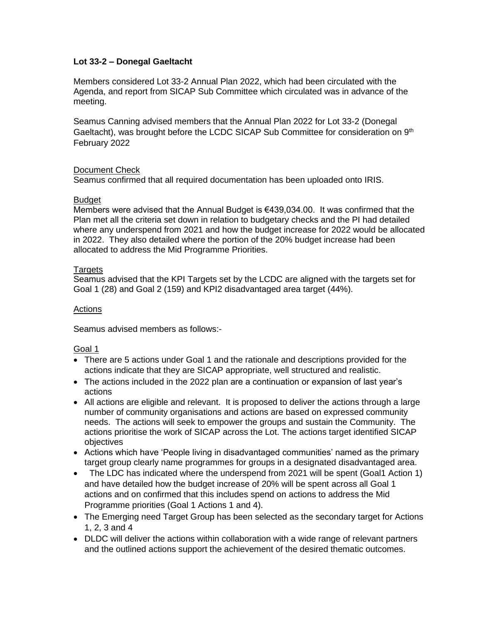## **Lot 33-2 – Donegal Gaeltacht**

Members considered Lot 33-2 Annual Plan 2022, which had been circulated with the Agenda, and report from SICAP Sub Committee which circulated was in advance of the meeting.

Seamus Canning advised members that the Annual Plan 2022 for Lot 33-2 (Donegal Gaeltacht), was brought before the LCDC SICAP Sub Committee for consideration on 9<sup>th</sup> February 2022

### Document Check

Seamus confirmed that all required documentation has been uploaded onto IRIS.

### **Budget**

Members were advised that the Annual Budget is €439,034.00. It was confirmed that the Plan met all the criteria set down in relation to budgetary checks and the PI had detailed where any underspend from 2021 and how the budget increase for 2022 would be allocated in 2022. They also detailed where the portion of the 20% budget increase had been allocated to address the Mid Programme Priorities.

## **Targets**

Seamus advised that the KPI Targets set by the LCDC are aligned with the targets set for Goal 1 (28) and Goal 2 (159) and KPI2 disadvantaged area target (44%).

## Actions

Seamus advised members as follows:-

# Goal 1

- There are 5 actions under Goal 1 and the rationale and descriptions provided for the actions indicate that they are SICAP appropriate, well structured and realistic.
- The actions included in the 2022 plan are a continuation or expansion of last year's actions
- All actions are eligible and relevant. It is proposed to deliver the actions through a large number of community organisations and actions are based on expressed community needs. The actions will seek to empower the groups and sustain the Community. The actions prioritise the work of SICAP across the Lot. The actions target identified SICAP objectives
- Actions which have 'People living in disadvantaged communities' named as the primary target group clearly name programmes for groups in a designated disadvantaged area.
- The LDC has indicated where the underspend from 2021 will be spent (Goal1 Action 1) and have detailed how the budget increase of 20% will be spent across all Goal 1 actions and on confirmed that this includes spend on actions to address the Mid Programme priorities (Goal 1 Actions 1 and 4).
- The Emerging need Target Group has been selected as the secondary target for Actions 1, 2, 3 and 4
- DLDC will deliver the actions within collaboration with a wide range of relevant partners and the outlined actions support the achievement of the desired thematic outcomes.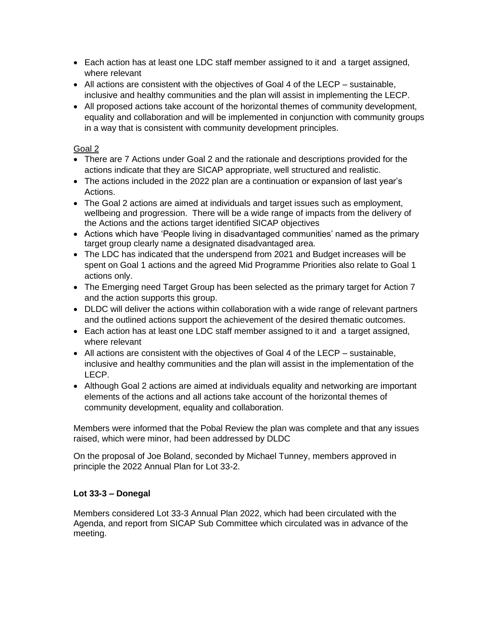- Each action has at least one LDC staff member assigned to it and a target assigned, where relevant
- All actions are consistent with the objectives of Goal 4 of the LECP sustainable, inclusive and healthy communities and the plan will assist in implementing the LECP.
- All proposed actions take account of the horizontal themes of community development, equality and collaboration and will be implemented in conjunction with community groups in a way that is consistent with community development principles.

# Goal 2

- There are 7 Actions under Goal 2 and the rationale and descriptions provided for the actions indicate that they are SICAP appropriate, well structured and realistic.
- The actions included in the 2022 plan are a continuation or expansion of last year's Actions.
- The Goal 2 actions are aimed at individuals and target issues such as employment, wellbeing and progression. There will be a wide range of impacts from the delivery of the Actions and the actions target identified SICAP objectives
- Actions which have 'People living in disadvantaged communities' named as the primary target group clearly name a designated disadvantaged area.
- The LDC has indicated that the underspend from 2021 and Budget increases will be spent on Goal 1 actions and the agreed Mid Programme Priorities also relate to Goal 1 actions only.
- The Emerging need Target Group has been selected as the primary target for Action 7 and the action supports this group.
- DLDC will deliver the actions within collaboration with a wide range of relevant partners and the outlined actions support the achievement of the desired thematic outcomes.
- Each action has at least one LDC staff member assigned to it and a target assigned, where relevant
- All actions are consistent with the objectives of Goal 4 of the LECP sustainable, inclusive and healthy communities and the plan will assist in the implementation of the LECP.
- Although Goal 2 actions are aimed at individuals equality and networking are important elements of the actions and all actions take account of the horizontal themes of community development, equality and collaboration.

Members were informed that the Pobal Review the plan was complete and that any issues raised, which were minor, had been addressed by DLDC

On the proposal of Joe Boland, seconded by Michael Tunney, members approved in principle the 2022 Annual Plan for Lot 33-2.

# **Lot 33-3 – Donegal**

Members considered Lot 33-3 Annual Plan 2022, which had been circulated with the Agenda, and report from SICAP Sub Committee which circulated was in advance of the meeting.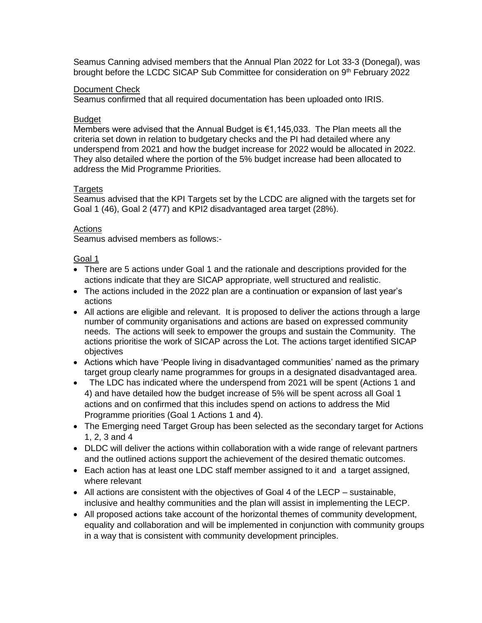Seamus Canning advised members that the Annual Plan 2022 for Lot 33-3 (Donegal), was brought before the LCDC SICAP Sub Committee for consideration on 9<sup>th</sup> February 2022

### Document Check

Seamus confirmed that all required documentation has been uploaded onto IRIS.

### **Budget**

Members were advised that the Annual Budget is  $\epsilon$ 1,145,033. The Plan meets all the criteria set down in relation to budgetary checks and the PI had detailed where any underspend from 2021 and how the budget increase for 2022 would be allocated in 2022. They also detailed where the portion of the 5% budget increase had been allocated to address the Mid Programme Priorities.

### **Targets**

Seamus advised that the KPI Targets set by the LCDC are aligned with the targets set for Goal 1 (46), Goal 2 (477) and KPI2 disadvantaged area target (28%).

### **Actions**

Seamus advised members as follows:-

### Goal 1

- There are 5 actions under Goal 1 and the rationale and descriptions provided for the actions indicate that they are SICAP appropriate, well structured and realistic.
- The actions included in the 2022 plan are a continuation or expansion of last year's actions
- All actions are eligible and relevant. It is proposed to deliver the actions through a large number of community organisations and actions are based on expressed community needs. The actions will seek to empower the groups and sustain the Community. The actions prioritise the work of SICAP across the Lot. The actions target identified SICAP objectives
- Actions which have 'People living in disadvantaged communities' named as the primary target group clearly name programmes for groups in a designated disadvantaged area.
- The LDC has indicated where the underspend from 2021 will be spent (Actions 1 and 4) and have detailed how the budget increase of 5% will be spent across all Goal 1 actions and on confirmed that this includes spend on actions to address the Mid Programme priorities (Goal 1 Actions 1 and 4).
- The Emerging need Target Group has been selected as the secondary target for Actions 1, 2, 3 and 4
- DLDC will deliver the actions within collaboration with a wide range of relevant partners and the outlined actions support the achievement of the desired thematic outcomes.
- Each action has at least one LDC staff member assigned to it and a target assigned, where relevant
- All actions are consistent with the objectives of Goal 4 of the LECP sustainable, inclusive and healthy communities and the plan will assist in implementing the LECP.
- All proposed actions take account of the horizontal themes of community development, equality and collaboration and will be implemented in conjunction with community groups in a way that is consistent with community development principles.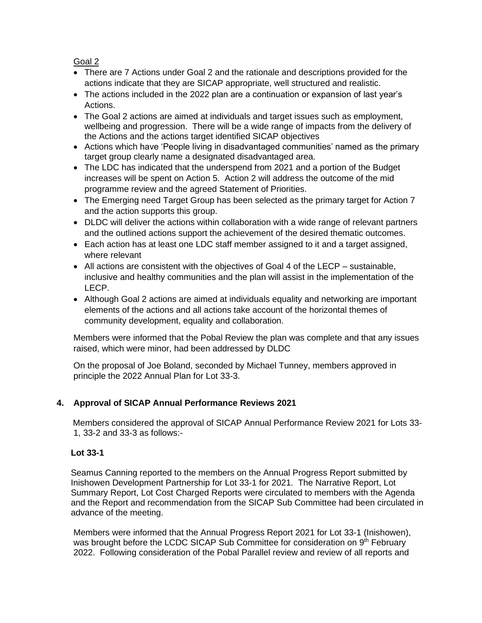Goal 2

- There are 7 Actions under Goal 2 and the rationale and descriptions provided for the actions indicate that they are SICAP appropriate, well structured and realistic.
- The actions included in the 2022 plan are a continuation or expansion of last year's Actions.
- The Goal 2 actions are aimed at individuals and target issues such as employment, wellbeing and progression. There will be a wide range of impacts from the delivery of the Actions and the actions target identified SICAP objectives
- Actions which have 'People living in disadvantaged communities' named as the primary target group clearly name a designated disadvantaged area.
- The LDC has indicated that the underspend from 2021 and a portion of the Budget increases will be spent on Action 5. Action 2 will address the outcome of the mid programme review and the agreed Statement of Priorities.
- The Emerging need Target Group has been selected as the primary target for Action 7 and the action supports this group.
- DLDC will deliver the actions within collaboration with a wide range of relevant partners and the outlined actions support the achievement of the desired thematic outcomes.
- Each action has at least one LDC staff member assigned to it and a target assigned, where relevant
- All actions are consistent with the objectives of Goal 4 of the LECP sustainable, inclusive and healthy communities and the plan will assist in the implementation of the LECP.
- Although Goal 2 actions are aimed at individuals equality and networking are important elements of the actions and all actions take account of the horizontal themes of community development, equality and collaboration.

Members were informed that the Pobal Review the plan was complete and that any issues raised, which were minor, had been addressed by DLDC

On the proposal of Joe Boland, seconded by Michael Tunney, members approved in principle the 2022 Annual Plan for Lot 33-3.

# **4. Approval of SICAP Annual Performance Reviews 2021**

Members considered the approval of SICAP Annual Performance Review 2021 for Lots 33- 1, 33-2 and 33-3 as follows:-

# **Lot 33-1**

Seamus Canning reported to the members on the Annual Progress Report submitted by Inishowen Development Partnership for Lot 33-1 for 2021. The Narrative Report, Lot Summary Report, Lot Cost Charged Reports were circulated to members with the Agenda and the Report and recommendation from the SICAP Sub Committee had been circulated in advance of the meeting.

Members were informed that the Annual Progress Report 2021 for Lot 33-1 (Inishowen), was brought before the LCDC SICAP Sub Committee for consideration on 9<sup>th</sup> February 2022. Following consideration of the Pobal Parallel review and review of all reports and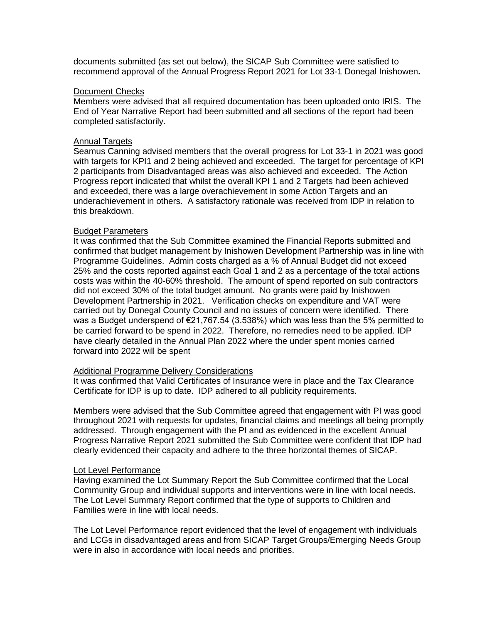documents submitted (as set out below), the SICAP Sub Committee were satisfied to recommend approval of the Annual Progress Report 2021 for Lot 33-1 Donegal Inishowen**.**

#### Document Checks

Members were advised that all required documentation has been uploaded onto IRIS. The End of Year Narrative Report had been submitted and all sections of the report had been completed satisfactorily.

#### Annual Targets

Seamus Canning advised members that the overall progress for Lot 33-1 in 2021 was good with targets for KPI1 and 2 being achieved and exceeded. The target for percentage of KPI 2 participants from Disadvantaged areas was also achieved and exceeded. The Action Progress report indicated that whilst the overall KPI 1 and 2 Targets had been achieved and exceeded, there was a large overachievement in some Action Targets and an underachievement in others. A satisfactory rationale was received from IDP in relation to this breakdown.

#### Budget Parameters

It was confirmed that the Sub Committee examined the Financial Reports submitted and confirmed that budget management by Inishowen Development Partnership was in line with Programme Guidelines. Admin costs charged as a % of Annual Budget did not exceed 25% and the costs reported against each Goal 1 and 2 as a percentage of the total actions costs was within the 40-60% threshold. The amount of spend reported on sub contractors did not exceed 30% of the total budget amount. No grants were paid by Inishowen Development Partnership in 2021. Verification checks on expenditure and VAT were carried out by Donegal County Council and no issues of concern were identified. There was a Budget underspend of €21,767.54 (3.538%) which was less than the 5% permitted to be carried forward to be spend in 2022. Therefore, no remedies need to be applied. IDP have clearly detailed in the Annual Plan 2022 where the under spent monies carried forward into 2022 will be spent

#### Additional Programme Delivery Considerations

It was confirmed that Valid Certificates of Insurance were in place and the Tax Clearance Certificate for IDP is up to date. IDP adhered to all publicity requirements.

Members were advised that the Sub Committee agreed that engagement with PI was good throughout 2021 with requests for updates, financial claims and meetings all being promptly addressed. Through engagement with the PI and as evidenced in the excellent Annual Progress Narrative Report 2021 submitted the Sub Committee were confident that IDP had clearly evidenced their capacity and adhere to the three horizontal themes of SICAP.

#### Lot Level Performance

Having examined the Lot Summary Report the Sub Committee confirmed that the Local Community Group and individual supports and interventions were in line with local needs. The Lot Level Summary Report confirmed that the type of supports to Children and Families were in line with local needs.

The Lot Level Performance report evidenced that the level of engagement with individuals and LCGs in disadvantaged areas and from SICAP Target Groups/Emerging Needs Group were in also in accordance with local needs and priorities.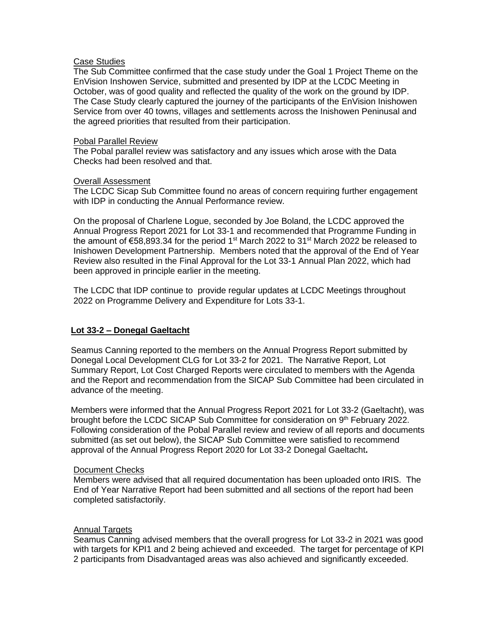#### Case Studies

The Sub Committee confirmed that the case study under the Goal 1 Project Theme on the EnVision Inshowen Service, submitted and presented by IDP at the LCDC Meeting in October, was of good quality and reflected the quality of the work on the ground by IDP. The Case Study clearly captured the journey of the participants of the EnVision Inishowen Service from over 40 towns, villages and settlements across the Inishowen Peninusal and the agreed priorities that resulted from their participation.

### Pobal Parallel Review

The Pobal parallel review was satisfactory and any issues which arose with the Data Checks had been resolved and that.

### **Overall Assessment**

The LCDC Sicap Sub Committee found no areas of concern requiring further engagement with IDP in conducting the Annual Performance review.

On the proposal of Charlene Logue, seconded by Joe Boland, the LCDC approved the Annual Progress Report 2021 for Lot 33-1 and recommended that Programme Funding in the amount of  $\epsilon$ 58,893.34 for the period 1<sup>st</sup> March 2022 to 31<sup>st</sup> March 2022 be released to Inishowen Development Partnership. Members noted that the approval of the End of Year Review also resulted in the Final Approval for the Lot 33-1 Annual Plan 2022, which had been approved in principle earlier in the meeting.

The LCDC that IDP continue to provide regular updates at LCDC Meetings throughout 2022 on Programme Delivery and Expenditure for Lots 33-1.

### **Lot 33-2 – Donegal Gaeltacht**

Seamus Canning reported to the members on the Annual Progress Report submitted by Donegal Local Development CLG for Lot 33-2 for 2021. The Narrative Report, Lot Summary Report, Lot Cost Charged Reports were circulated to members with the Agenda and the Report and recommendation from the SICAP Sub Committee had been circulated in advance of the meeting.

Members were informed that the Annual Progress Report 2021 for Lot 33-2 (Gaeltacht), was brought before the LCDC SICAP Sub Committee for consideration on 9<sup>th</sup> February 2022. Following consideration of the Pobal Parallel review and review of all reports and documents submitted (as set out below), the SICAP Sub Committee were satisfied to recommend approval of the Annual Progress Report 2020 for Lot 33-2 Donegal Gaeltacht**.**

### Document Checks

Members were advised that all required documentation has been uploaded onto IRIS. The End of Year Narrative Report had been submitted and all sections of the report had been completed satisfactorily.

### Annual Targets

Seamus Canning advised members that the overall progress for Lot 33-2 in 2021 was good with targets for KPI1 and 2 being achieved and exceeded. The target for percentage of KPI 2 participants from Disadvantaged areas was also achieved and significantly exceeded.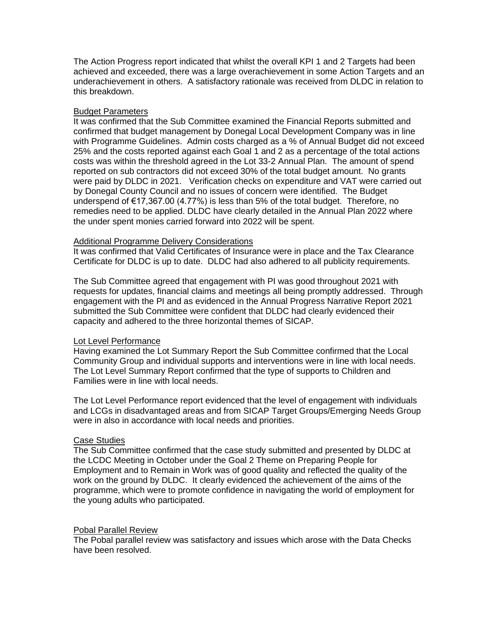The Action Progress report indicated that whilst the overall KPI 1 and 2 Targets had been achieved and exceeded, there was a large overachievement in some Action Targets and an underachievement in others. A satisfactory rationale was received from DLDC in relation to this breakdown.

### Budget Parameters

It was confirmed that the Sub Committee examined the Financial Reports submitted and confirmed that budget management by Donegal Local Development Company was in line with Programme Guidelines. Admin costs charged as a % of Annual Budget did not exceed 25% and the costs reported against each Goal 1 and 2 as a percentage of the total actions costs was within the threshold agreed in the Lot 33-2 Annual Plan. The amount of spend reported on sub contractors did not exceed 30% of the total budget amount. No grants were paid by DLDC in 2021. Verification checks on expenditure and VAT were carried out by Donegal County Council and no issues of concern were identified. The Budget underspend of €17,367.00 (4.77%) is less than 5% of the total budget. Therefore, no remedies need to be applied. DLDC have clearly detailed in the Annual Plan 2022 where the under spent monies carried forward into 2022 will be spent.

### Additional Programme Delivery Considerations

It was confirmed that Valid Certificates of Insurance were in place and the Tax Clearance Certificate for DLDC is up to date. DLDC had also adhered to all publicity requirements.

The Sub Committee agreed that engagement with PI was good throughout 2021 with requests for updates, financial claims and meetings all being promptly addressed. Through engagement with the PI and as evidenced in the Annual Progress Narrative Report 2021 submitted the Sub Committee were confident that DLDC had clearly evidenced their capacity and adhered to the three horizontal themes of SICAP.

#### Lot Level Performance

Having examined the Lot Summary Report the Sub Committee confirmed that the Local Community Group and individual supports and interventions were in line with local needs. The Lot Level Summary Report confirmed that the type of supports to Children and Families were in line with local needs.

The Lot Level Performance report evidenced that the level of engagement with individuals and LCGs in disadvantaged areas and from SICAP Target Groups/Emerging Needs Group were in also in accordance with local needs and priorities.

#### Case Studies

The Sub Committee confirmed that the case study submitted and presented by DLDC at the LCDC Meeting in October under the Goal 2 Theme on Preparing People for Employment and to Remain in Work was of good quality and reflected the quality of the work on the ground by DLDC. It clearly evidenced the achievement of the aims of the programme, which were to promote confidence in navigating the world of employment for the young adults who participated.

#### Pobal Parallel Review

The Pobal parallel review was satisfactory and issues which arose with the Data Checks have been resolved.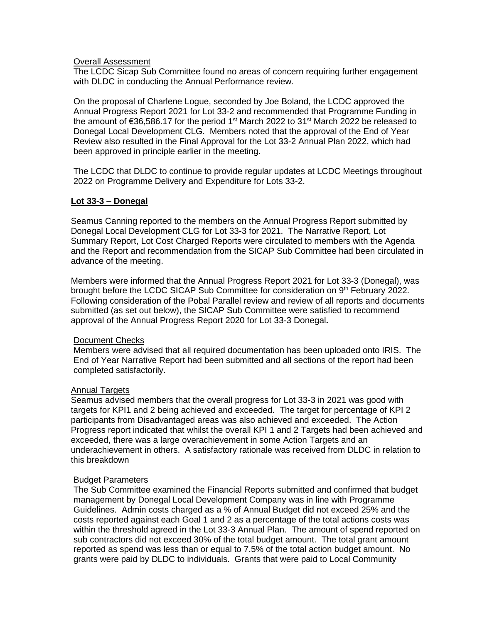### **Overall Assessment**

The LCDC Sicap Sub Committee found no areas of concern requiring further engagement with DLDC in conducting the Annual Performance review.

On the proposal of Charlene Logue, seconded by Joe Boland, the LCDC approved the Annual Progress Report 2021 for Lot 33-2 and recommended that Programme Funding in the amount of €36,586.17 for the period 1<sup>st</sup> March 2022 to 31<sup>st</sup> March 2022 be released to Donegal Local Development CLG. Members noted that the approval of the End of Year Review also resulted in the Final Approval for the Lot 33-2 Annual Plan 2022, which had been approved in principle earlier in the meeting.

The LCDC that DLDC to continue to provide regular updates at LCDC Meetings throughout 2022 on Programme Delivery and Expenditure for Lots 33-2.

#### **Lot 33-3 – Donegal**

Seamus Canning reported to the members on the Annual Progress Report submitted by Donegal Local Development CLG for Lot 33-3 for 2021. The Narrative Report, Lot Summary Report, Lot Cost Charged Reports were circulated to members with the Agenda and the Report and recommendation from the SICAP Sub Committee had been circulated in advance of the meeting.

Members were informed that the Annual Progress Report 2021 for Lot 33-3 (Donegal), was brought before the LCDC SICAP Sub Committee for consideration on 9<sup>th</sup> February 2022. Following consideration of the Pobal Parallel review and review of all reports and documents submitted (as set out below), the SICAP Sub Committee were satisfied to recommend approval of the Annual Progress Report 2020 for Lot 33-3 Donegal**.**

#### Document Checks

Members were advised that all required documentation has been uploaded onto IRIS. The End of Year Narrative Report had been submitted and all sections of the report had been completed satisfactorily.

#### Annual Targets

Seamus advised members that the overall progress for Lot 33-3 in 2021 was good with targets for KPI1 and 2 being achieved and exceeded. The target for percentage of KPI 2 participants from Disadvantaged areas was also achieved and exceeded. The Action Progress report indicated that whilst the overall KPI 1 and 2 Targets had been achieved and exceeded, there was a large overachievement in some Action Targets and an underachievement in others. A satisfactory rationale was received from DLDC in relation to this breakdown

#### Budget Parameters

The Sub Committee examined the Financial Reports submitted and confirmed that budget management by Donegal Local Development Company was in line with Programme Guidelines. Admin costs charged as a % of Annual Budget did not exceed 25% and the costs reported against each Goal 1 and 2 as a percentage of the total actions costs was within the threshold agreed in the Lot 33-3 Annual Plan. The amount of spend reported on sub contractors did not exceed 30% of the total budget amount. The total grant amount reported as spend was less than or equal to 7.5% of the total action budget amount. No grants were paid by DLDC to individuals. Grants that were paid to Local Community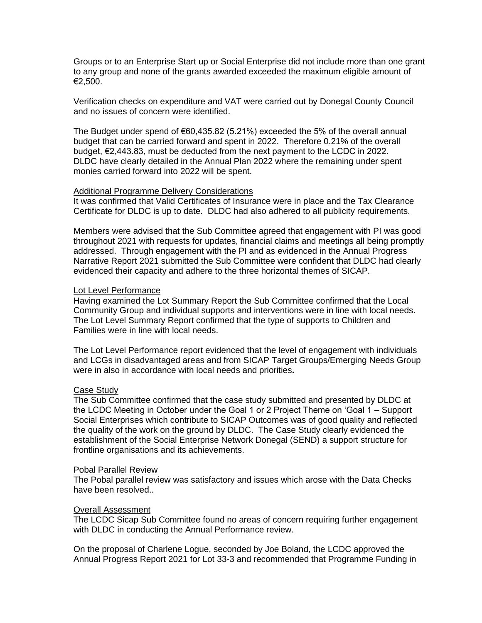Groups or to an Enterprise Start up or Social Enterprise did not include more than one grant to any group and none of the grants awarded exceeded the maximum eligible amount of €2,500.

Verification checks on expenditure and VAT were carried out by Donegal County Council and no issues of concern were identified.

The Budget under spend of  $\epsilon$ 60,435.82 (5.21%) exceeded the 5% of the overall annual budget that can be carried forward and spent in 2022. Therefore 0.21% of the overall budget, €2,443.83, must be deducted from the next payment to the LCDC in 2022. DLDC have clearly detailed in the Annual Plan 2022 where the remaining under spent monies carried forward into 2022 will be spent.

#### Additional Programme Delivery Considerations

It was confirmed that Valid Certificates of Insurance were in place and the Tax Clearance Certificate for DLDC is up to date. DLDC had also adhered to all publicity requirements.

Members were advised that the Sub Committee agreed that engagement with PI was good throughout 2021 with requests for updates, financial claims and meetings all being promptly addressed. Through engagement with the PI and as evidenced in the Annual Progress Narrative Report 2021 submitted the Sub Committee were confident that DLDC had clearly evidenced their capacity and adhere to the three horizontal themes of SICAP.

#### Lot Level Performance

Having examined the Lot Summary Report the Sub Committee confirmed that the Local Community Group and individual supports and interventions were in line with local needs. The Lot Level Summary Report confirmed that the type of supports to Children and Families were in line with local needs.

The Lot Level Performance report evidenced that the level of engagement with individuals and LCGs in disadvantaged areas and from SICAP Target Groups/Emerging Needs Group were in also in accordance with local needs and priorities**.**

#### Case Study

The Sub Committee confirmed that the case study submitted and presented by DLDC at the LCDC Meeting in October under the Goal 1 or 2 Project Theme on 'Goal 1 – Support Social Enterprises which contribute to SICAP Outcomes was of good quality and reflected the quality of the work on the ground by DLDC. The Case Study clearly evidenced the establishment of the Social Enterprise Network Donegal (SEND) a support structure for frontline organisations and its achievements.

#### Pobal Parallel Review

The Pobal parallel review was satisfactory and issues which arose with the Data Checks have been resolved..

### Overall Assessment

The LCDC Sicap Sub Committee found no areas of concern requiring further engagement with DLDC in conducting the Annual Performance review.

On the proposal of Charlene Logue, seconded by Joe Boland, the LCDC approved the Annual Progress Report 2021 for Lot 33-3 and recommended that Programme Funding in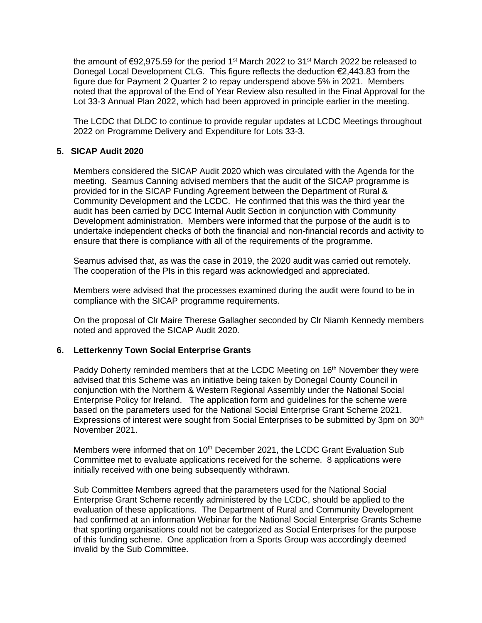the amount of €92,975.59 for the period 1<sup>st</sup> March 2022 to 31<sup>st</sup> March 2022 be released to Donegal Local Development CLG. This figure reflects the deduction  $\epsilon$ 2,443.83 from the figure due for Payment 2 Quarter 2 to repay underspend above 5% in 2021. Members noted that the approval of the End of Year Review also resulted in the Final Approval for the Lot 33-3 Annual Plan 2022, which had been approved in principle earlier in the meeting.

The LCDC that DLDC to continue to provide regular updates at LCDC Meetings throughout 2022 on Programme Delivery and Expenditure for Lots 33-3.

## **5. SICAP Audit 2020**

Members considered the SICAP Audit 2020 which was circulated with the Agenda for the meeting. Seamus Canning advised members that the audit of the SICAP programme is provided for in the SICAP Funding Agreement between the Department of Rural & Community Development and the LCDC. He confirmed that this was the third year the audit has been carried by DCC Internal Audit Section in conjunction with Community Development administration. Members were informed that the purpose of the audit is to undertake independent checks of both the financial and non-financial records and activity to ensure that there is compliance with all of the requirements of the programme.

Seamus advised that, as was the case in 2019, the 2020 audit was carried out remotely. The cooperation of the PIs in this regard was acknowledged and appreciated.

Members were advised that the processes examined during the audit were found to be in compliance with the SICAP programme requirements.

On the proposal of Clr Maire Therese Gallagher seconded by Clr Niamh Kennedy members noted and approved the SICAP Audit 2020.

### **6. Letterkenny Town Social Enterprise Grants**

Paddy Doherty reminded members that at the LCDC Meeting on 16<sup>th</sup> November they were advised that this Scheme was an initiative being taken by Donegal County Council in conjunction with the Northern & Western Regional Assembly under the National Social Enterprise Policy for Ireland. The application form and guidelines for the scheme were based on the parameters used for the National Social Enterprise Grant Scheme 2021. Expressions of interest were sought from Social Enterprises to be submitted by 3pm on 30<sup>th</sup> November 2021.

Members were informed that on 10<sup>th</sup> December 2021, the LCDC Grant Evaluation Sub Committee met to evaluate applications received for the scheme. 8 applications were initially received with one being subsequently withdrawn.

Sub Committee Members agreed that the parameters used for the National Social Enterprise Grant Scheme recently administered by the LCDC, should be applied to the evaluation of these applications. The Department of Rural and Community Development had confirmed at an information Webinar for the National Social Enterprise Grants Scheme that sporting organisations could not be categorized as Social Enterprises for the purpose of this funding scheme. One application from a Sports Group was accordingly deemed invalid by the Sub Committee.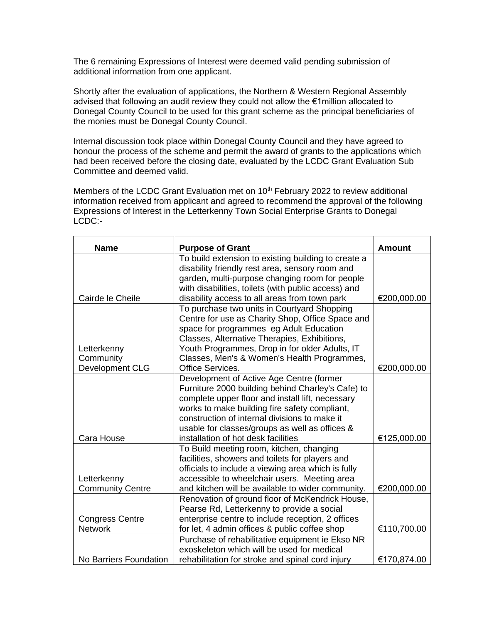The 6 remaining Expressions of Interest were deemed valid pending submission of additional information from one applicant.

Shortly after the evaluation of applications, the Northern & Western Regional Assembly advised that following an audit review they could not allow the €1million allocated to Donegal County Council to be used for this grant scheme as the principal beneficiaries of the monies must be Donegal County Council.

Internal discussion took place within Donegal County Council and they have agreed to honour the process of the scheme and permit the award of grants to the applications which had been received before the closing date, evaluated by the LCDC Grant Evaluation Sub Committee and deemed valid.

Members of the LCDC Grant Evaluation met on  $10<sup>th</sup>$  February 2022 to review additional information received from applicant and agreed to recommend the approval of the following Expressions of Interest in the Letterkenny Town Social Enterprise Grants to Donegal LCDC:-

| <b>Name</b>             | <b>Purpose of Grant</b>                             | <b>Amount</b> |
|-------------------------|-----------------------------------------------------|---------------|
|                         | To build extension to existing building to create a |               |
|                         | disability friendly rest area, sensory room and     |               |
|                         | garden, multi-purpose changing room for people      |               |
|                         | with disabilities, toilets (with public access) and |               |
| Cairde le Cheile        | disability access to all areas from town park       | €200,000.00   |
|                         | To purchase two units in Courtyard Shopping         |               |
|                         | Centre for use as Charity Shop, Office Space and    |               |
|                         | space for programmes eg Adult Education             |               |
|                         | Classes, Alternative Therapies, Exhibitions,        |               |
| Letterkenny             | Youth Programmes, Drop in for older Adults, IT      |               |
| Community               | Classes, Men's & Women's Health Programmes,         |               |
| Development CLG         | Office Services.                                    | €200,000.00   |
|                         | Development of Active Age Centre (former            |               |
|                         | Furniture 2000 building behind Charley's Cafe) to   |               |
|                         | complete upper floor and install lift, necessary    |               |
|                         | works to make building fire safety compliant,       |               |
|                         | construction of internal divisions to make it       |               |
|                         | usable for classes/groups as well as offices &      |               |
| Cara House              | installation of hot desk facilities                 | €125,000.00   |
|                         | To Build meeting room, kitchen, changing            |               |
|                         | facilities, showers and toilets for players and     |               |
|                         | officials to include a viewing area which is fully  |               |
| Letterkenny             | accessible to wheelchair users. Meeting area        |               |
| <b>Community Centre</b> | and kitchen will be available to wider community.   | €200,000.00   |
|                         | Renovation of ground floor of McKendrick House,     |               |
|                         | Pearse Rd, Letterkenny to provide a social          |               |
| <b>Congress Centre</b>  | enterprise centre to include reception, 2 offices   |               |
| <b>Network</b>          | for let, 4 admin offices & public coffee shop       | €110,700.00   |
|                         | Purchase of rehabilitative equipment ie Ekso NR     |               |
|                         | exoskeleton which will be used for medical          |               |
| No Barriers Foundation  | rehabilitation for stroke and spinal cord injury    | €170,874.00   |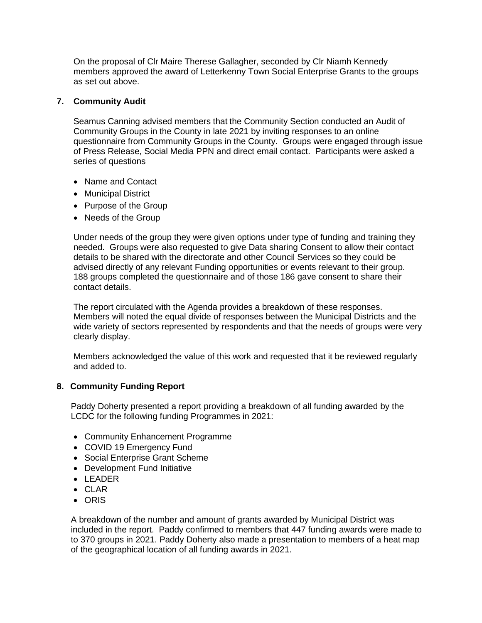On the proposal of Clr Maire Therese Gallagher, seconded by Clr Niamh Kennedy members approved the award of Letterkenny Town Social Enterprise Grants to the groups as set out above.

### **7. Community Audit**

Seamus Canning advised members that the Community Section conducted an Audit of Community Groups in the County in late 2021 by inviting responses to an online questionnaire from Community Groups in the County. Groups were engaged through issue of Press Release, Social Media PPN and direct email contact. Participants were asked a series of questions

- Name and Contact
- Municipal District
- Purpose of the Group
- Needs of the Group

Under needs of the group they were given options under type of funding and training they needed. Groups were also requested to give Data sharing Consent to allow their contact details to be shared with the directorate and other Council Services so they could be advised directly of any relevant Funding opportunities or events relevant to their group. 188 groups completed the questionnaire and of those 186 gave consent to share their contact details.

The report circulated with the Agenda provides a breakdown of these responses. Members will noted the equal divide of responses between the Municipal Districts and the wide variety of sectors represented by respondents and that the needs of groups were very clearly display.

Members acknowledged the value of this work and requested that it be reviewed regularly and added to.

### **8. Community Funding Report**

Paddy Doherty presented a report providing a breakdown of all funding awarded by the LCDC for the following funding Programmes in 2021:

- Community Enhancement Programme
- COVID 19 Emergency Fund
- Social Enterprise Grant Scheme
- Development Fund Initiative
- LEADER
- CLAR
- ORIS

A breakdown of the number and amount of grants awarded by Municipal District was included in the report. Paddy confirmed to members that 447 funding awards were made to to 370 groups in 2021. Paddy Doherty also made a presentation to members of a heat map of the geographical location of all funding awards in 2021.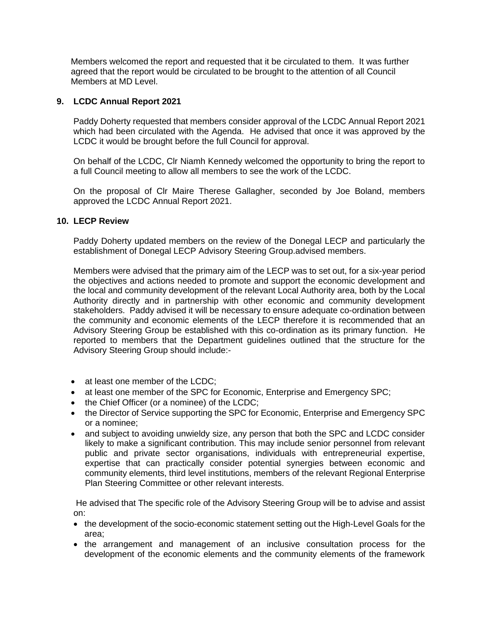Members welcomed the report and requested that it be circulated to them. It was further agreed that the report would be circulated to be brought to the attention of all Council Members at MD Level.

### **9. LCDC Annual Report 2021**

Paddy Doherty requested that members consider approval of the LCDC Annual Report 2021 which had been circulated with the Agenda. He advised that once it was approved by the LCDC it would be brought before the full Council for approval.

On behalf of the LCDC, Clr Niamh Kennedy welcomed the opportunity to bring the report to a full Council meeting to allow all members to see the work of the LCDC.

On the proposal of Clr Maire Therese Gallagher, seconded by Joe Boland, members approved the LCDC Annual Report 2021.

### **10. LECP Review**

Paddy Doherty updated members on the review of the Donegal LECP and particularly the establishment of Donegal LECP Advisory Steering Group.advised members.

Members were advised that the primary aim of the LECP was to set out, for a six-year period the objectives and actions needed to promote and support the economic development and the local and community development of the relevant Local Authority area, both by the Local Authority directly and in partnership with other economic and community development stakeholders. Paddy advised it will be necessary to ensure adequate co-ordination between the community and economic elements of the LECP therefore it is recommended that an Advisory Steering Group be established with this co-ordination as its primary function. He reported to members that the Department guidelines outlined that the structure for the Advisory Steering Group should include:-

- at least one member of the LCDC;
- at least one member of the SPC for Economic, Enterprise and Emergency SPC;
- the Chief Officer (or a nominee) of the LCDC;
- the Director of Service supporting the SPC for Economic, Enterprise and Emergency SPC or a nominee;
- and subject to avoiding unwieldy size, any person that both the SPC and LCDC consider likely to make a significant contribution. This may include senior personnel from relevant public and private sector organisations, individuals with entrepreneurial expertise, expertise that can practically consider potential synergies between economic and community elements, third level institutions, members of the relevant Regional Enterprise Plan Steering Committee or other relevant interests.

He advised that The specific role of the Advisory Steering Group will be to advise and assist on:

- the development of the socio-economic statement setting out the High-Level Goals for the area;
- the arrangement and management of an inclusive consultation process for the development of the economic elements and the community elements of the framework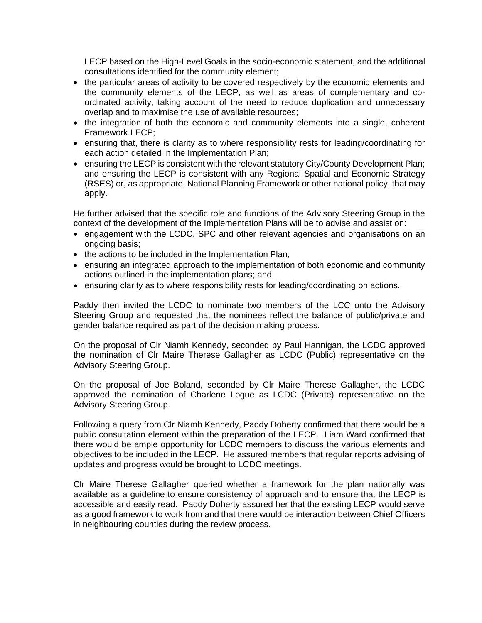LECP based on the High-Level Goals in the socio-economic statement, and the additional consultations identified for the community element;

- the particular areas of activity to be covered respectively by the economic elements and the community elements of the LECP, as well as areas of complementary and coordinated activity, taking account of the need to reduce duplication and unnecessary overlap and to maximise the use of available resources;
- the integration of both the economic and community elements into a single, coherent Framework LECP;
- ensuring that, there is clarity as to where responsibility rests for leading/coordinating for each action detailed in the Implementation Plan;
- ensuring the LECP is consistent with the relevant statutory City/County Development Plan; and ensuring the LECP is consistent with any Regional Spatial and Economic Strategy (RSES) or, as appropriate, National Planning Framework or other national policy, that may apply.

He further advised that the specific role and functions of the Advisory Steering Group in the context of the development of the Implementation Plans will be to advise and assist on:

- engagement with the LCDC, SPC and other relevant agencies and organisations on an ongoing basis;
- the actions to be included in the Implementation Plan;
- ensuring an integrated approach to the implementation of both economic and community actions outlined in the implementation plans; and
- ensuring clarity as to where responsibility rests for leading/coordinating on actions.

Paddy then invited the LCDC to nominate two members of the LCC onto the Advisory Steering Group and requested that the nominees reflect the balance of public/private and gender balance required as part of the decision making process.

On the proposal of Clr Niamh Kennedy, seconded by Paul Hannigan, the LCDC approved the nomination of Clr Maire Therese Gallagher as LCDC (Public) representative on the Advisory Steering Group.

On the proposal of Joe Boland, seconded by Clr Maire Therese Gallagher, the LCDC approved the nomination of Charlene Logue as LCDC (Private) representative on the Advisory Steering Group.

Following a query from Clr Niamh Kennedy, Paddy Doherty confirmed that there would be a public consultation element within the preparation of the LECP. Liam Ward confirmed that there would be ample opportunity for LCDC members to discuss the various elements and objectives to be included in the LECP. He assured members that regular reports advising of updates and progress would be brought to LCDC meetings.

Clr Maire Therese Gallagher queried whether a framework for the plan nationally was available as a guideline to ensure consistency of approach and to ensure that the LECP is accessible and easily read. Paddy Doherty assured her that the existing LECP would serve as a good framework to work from and that there would be interaction between Chief Officers in neighbouring counties during the review process.